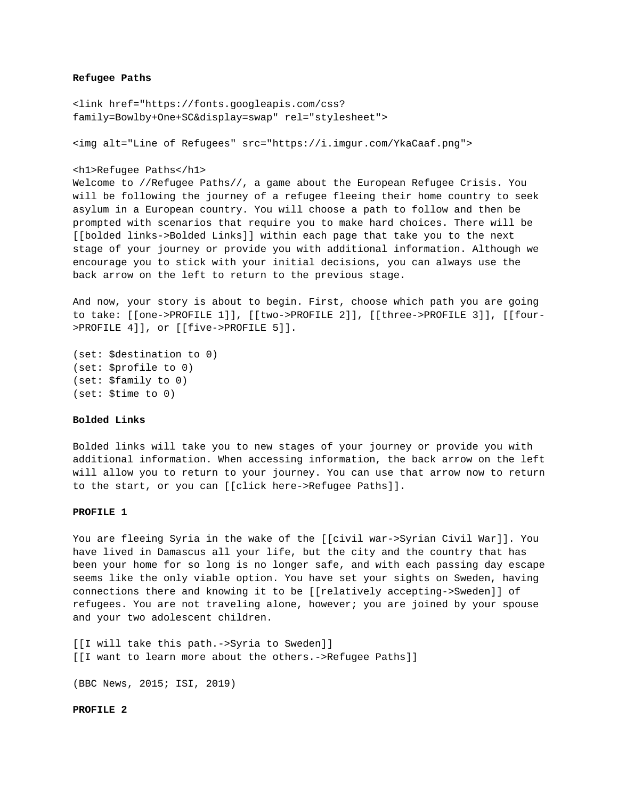## **Refugee Paths**

<link href="https://fonts.googleapis.com/css? family=Bowlby+One+SC&display=swap" rel="stylesheet">

<img alt="Line of Refugees" src="https://i.imgur.com/YkaCaaf.png">

```
<h1>Refugee Paths</h1>
```
Welcome to //Refugee Paths//, a game about the European Refugee Crisis. You will be following the journey of a refugee fleeing their home country to seek asylum in a European country. You will choose a path to follow and then be prompted with scenarios that require you to make hard choices. There will be [[bolded links->Bolded Links]] within each page that take you to the next stage of your journey or provide you with additional information. Although we encourage you to stick with your initial decisions, you can always use the back arrow on the left to return to the previous stage.

And now, your story is about to begin. First, choose which path you are going to take: [[one->PROFILE 1]], [[two->PROFILE 2]], [[three->PROFILE 3]], [[four- >PROFILE 4]], or [[five->PROFILE 5]].

```
(set: $destination to 0)
(set: $profile to 0)
(set: $family to 0)
(set: $time to 0)
```
## **Bolded Links**

Bolded links will take you to new stages of your journey or provide you with additional information. When accessing information, the back arrow on the left will allow you to return to your journey. You can use that arrow now to return to the start, or you can [[click here->Refugee Paths]].

## **PROFILE 1**

You are fleeing Syria in the wake of the [[civil war->Syrian Civil War]]. You have lived in Damascus all your life, but the city and the country that has been your home for so long is no longer safe, and with each passing day escape seems like the only viable option. You have set your sights on Sweden, having connections there and knowing it to be [[relatively accepting->Sweden]] of refugees. You are not traveling alone, however; you are joined by your spouse and your two adolescent children.

[[I will take this path.->Syria to Sweden]] [[I want to learn more about the others.->Refugee Paths]]

(BBC News, 2015; ISI, 2019)

#### **PROFILE 2**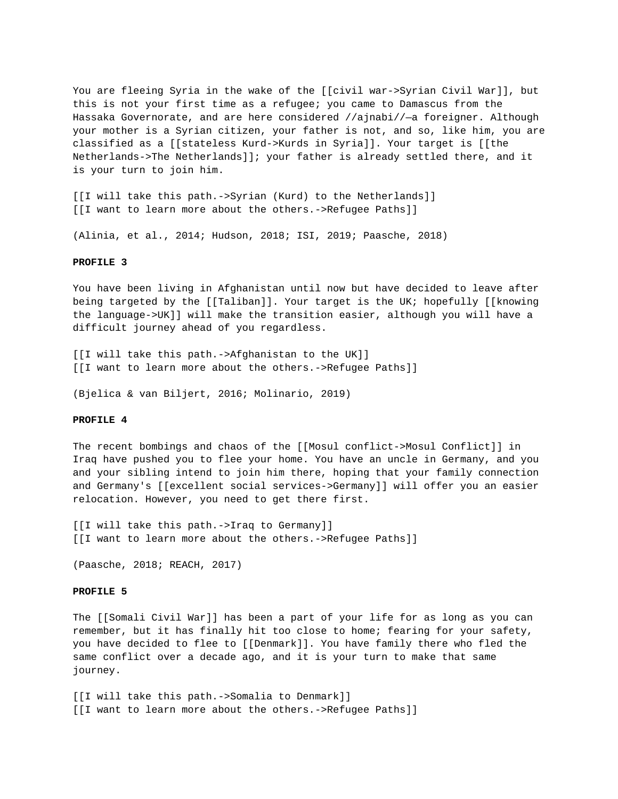You are fleeing Syria in the wake of the [[civil war->Syrian Civil War]], but this is not your first time as a refugee; you came to Damascus from the Hassaka Governorate, and are here considered //ajnabi//—a foreigner. Although your mother is a Syrian citizen, your father is not, and so, like him, you are classified as a [[stateless Kurd->Kurds in Syria]]. Your target is [[the Netherlands->The Netherlands]]; your father is already settled there, and it is your turn to join him.

[[I will take this path.->Syrian (Kurd) to the Netherlands]] [[I want to learn more about the others.->Refugee Paths]]

(Alinia, et al., 2014; Hudson, 2018; ISI, 2019; Paasche, 2018)

#### **PROFILE 3**

You have been living in Afghanistan until now but have decided to leave after being targeted by the [[Taliban]]. Your target is the UK; hopefully [[knowing the language->UK]] will make the transition easier, although you will have a difficult journey ahead of you regardless.

[[I will take this path.->Afghanistan to the UK]] [[I want to learn more about the others.->Refugee Paths]]

(Bjelica & van Biljert, 2016; Molinario, 2019)

#### **PROFILE 4**

The recent bombings and chaos of the [[Mosul conflict->Mosul Conflict]] in Iraq have pushed you to flee your home. You have an uncle in Germany, and you and your sibling intend to join him there, hoping that your family connection and Germany's [[excellent social services->Germany]] will offer you an easier relocation. However, you need to get there first.

[[I will take this path.->Iraq to Germany]] [[I want to learn more about the others.->Refugee Paths]]

(Paasche, 2018; REACH, 2017)

#### **PROFILE 5**

The [[Somali Civil War]] has been a part of your life for as long as you can remember, but it has finally hit too close to home; fearing for your safety, you have decided to flee to [[Denmark]]. You have family there who fled the same conflict over a decade ago, and it is your turn to make that same journey.

[[I will take this path.->Somalia to Denmark]] [[I want to learn more about the others.->Refugee Paths]]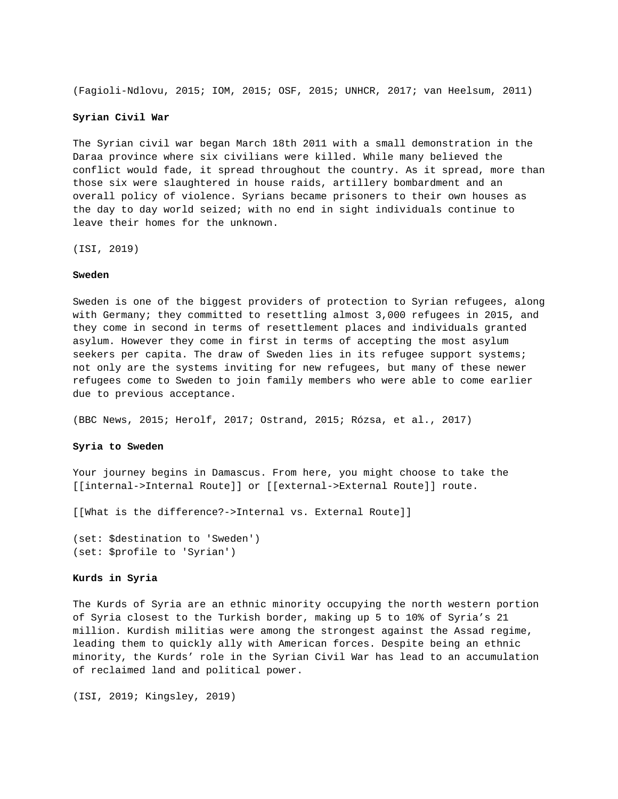(Fagioli-Ndlovu, 2015; IOM, 2015; OSF, 2015; UNHCR, 2017; van Heelsum, 2011)

## **Syrian Civil War**

The Syrian civil war began March 18th 2011 with a small demonstration in the Daraa province where six civilians were killed. While many believed the conflict would fade, it spread throughout the country. As it spread, more than those six were slaughtered in house raids, artillery bombardment and an overall policy of violence. Syrians became prisoners to their own houses as the day to day world seized; with no end in sight individuals continue to leave their homes for the unknown.

(ISI, 2019)

## **Sweden**

Sweden is one of the biggest providers of protection to Syrian refugees, along with Germany; they committed to resettling almost 3,000 refugees in 2015, and they come in second in terms of resettlement places and individuals granted asylum. However they come in first in terms of accepting the most asylum seekers per capita. The draw of Sweden lies in its refugee support systems; not only are the systems inviting for new refugees, but many of these newer refugees come to Sweden to join family members who were able to come earlier due to previous acceptance.

(BBC News, 2015; Herolf, 2017; Ostrand, 2015; Rózsa, et al., 2017)

### **Syria to Sweden**

Your journey begins in Damascus. From here, you might choose to take the [[internal->Internal Route]] or [[external->External Route]] route.

[[What is the difference?->Internal vs. External Route]]

(set: \$destination to 'Sweden') (set: \$profile to 'Syrian')

#### **Kurds in Syria**

The Kurds of Syria are an ethnic minority occupying the north western portion of Syria closest to the Turkish border, making up 5 to 10% of Syria's 21 million. Kurdish militias were among the strongest against the Assad regime, leading them to quickly ally with American forces. Despite being an ethnic minority, the Kurds' role in the Syrian Civil War has lead to an accumulation of reclaimed land and political power.

(ISI, 2019; Kingsley, 2019)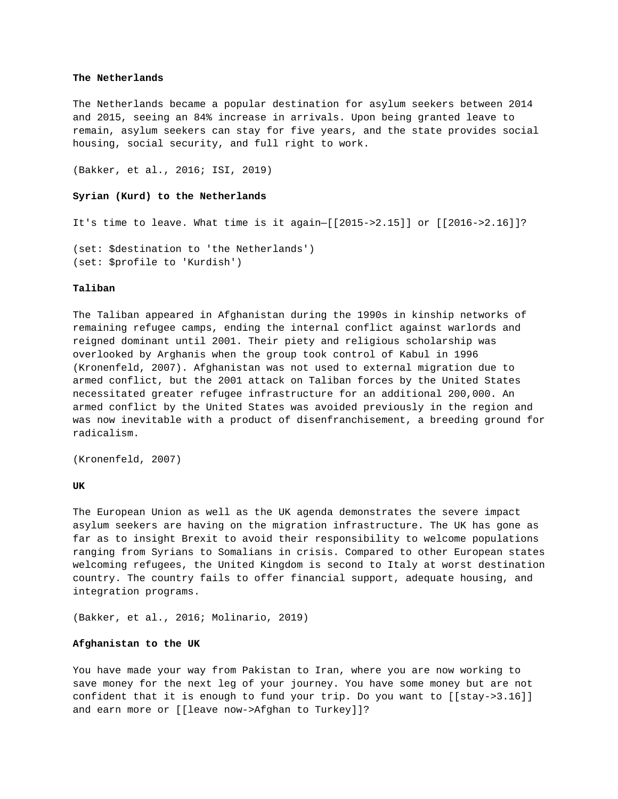## **The Netherlands**

The Netherlands became a popular destination for asylum seekers between 2014 and 2015, seeing an 84% increase in arrivals. Upon being granted leave to remain, asylum seekers can stay for five years, and the state provides social housing, social security, and full right to work.

(Bakker, et al., 2016; ISI, 2019)

# **Syrian (Kurd) to the Netherlands**

It's time to leave. What time is it again—[[2015->2.15]] or [[2016->2.16]]?

(set: \$destination to 'the Netherlands') (set: \$profile to 'Kurdish')

# **Taliban**

The Taliban appeared in Afghanistan during the 1990s in kinship networks of remaining refugee camps, ending the internal conflict against warlords and reigned dominant until 2001. Their piety and religious scholarship was overlooked by Arghanis when the group took control of Kabul in 1996 (Kronenfeld, 2007). Afghanistan was not used to external migration due to armed conflict, but the 2001 attack on Taliban forces by the United States necessitated greater refugee infrastructure for an additional 200,000. An armed conflict by the United States was avoided previously in the region and was now inevitable with a product of disenfranchisement, a breeding ground for radicalism.

(Kronenfeld, 2007)

**UK**

The European Union as well as the UK agenda demonstrates the severe impact asylum seekers are having on the migration infrastructure. The UK has gone as far as to insight Brexit to avoid their responsibility to welcome populations ranging from Syrians to Somalians in crisis. Compared to other European states welcoming refugees, the United Kingdom is second to Italy at worst destination country. The country fails to offer financial support, adequate housing, and integration programs.

(Bakker, et al., 2016; Molinario, 2019)

## **Afghanistan to the UK**

You have made your way from Pakistan to Iran, where you are now working to save money for the next leg of your journey. You have some money but are not confident that it is enough to fund your trip. Do you want to [[stay->3.16]] and earn more or [[leave now->Afghan to Turkey]]?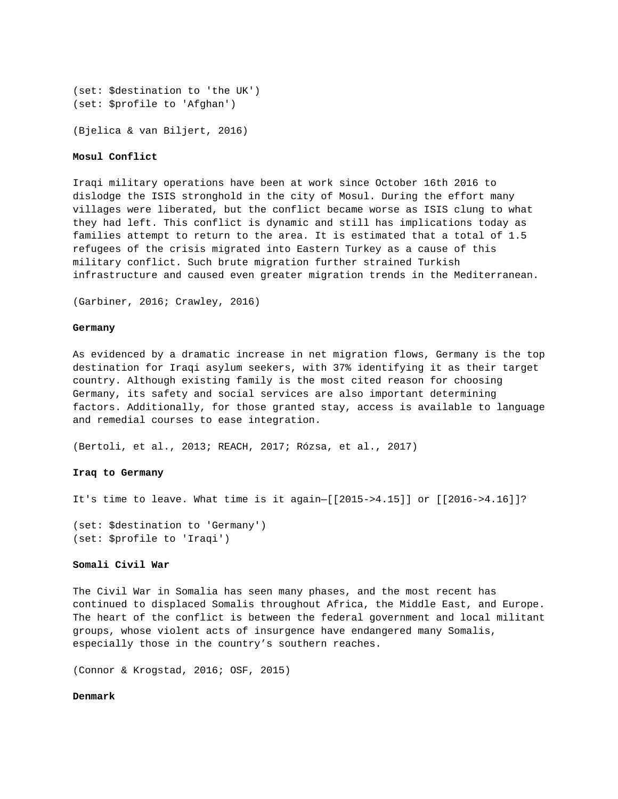```
(set: $destination to 'the UK')
(set: $profile to 'Afghan')
```
(Bjelica & van Biljert, 2016)

## **Mosul Conflict**

Iraqi military operations have been at work since October 16th 2016 to dislodge the ISIS stronghold in the city of Mosul. During the effort many villages were liberated, but the conflict became worse as ISIS clung to what they had left. This conflict is dynamic and still has implications today as families attempt to return to the area. It is estimated that a total of 1.5 refugees of the crisis migrated into Eastern Turkey as a cause of this military conflict. Such brute migration further strained Turkish infrastructure and caused even greater migration trends in the Mediterranean.

(Garbiner, 2016; Crawley, 2016)

## **Germany**

As evidenced by a dramatic increase in net migration flows, Germany is the top destination for Iraqi asylum seekers, with 37% identifying it as their target country. Although existing family is the most cited reason for choosing Germany, its safety and social services are also important determining factors. Additionally, for those granted stay, access is available to language and remedial courses to ease integration.

(Bertoli, et al., 2013; REACH, 2017; Rózsa, et al., 2017)

## **Iraq to Germany**

It's time to leave. What time is it again—[[2015->4.15]] or [[2016->4.16]]?

(set: \$destination to 'Germany') (set: \$profile to 'Iraqi')

## **Somali Civil War**

The Civil War in Somalia has seen many phases, and the most recent has continued to displaced Somalis throughout Africa, the Middle East, and Europe. The heart of the conflict is between the federal government and local militant groups, whose violent acts of insurgence have endangered many Somalis, especially those in the country's southern reaches.

(Connor & Krogstad, 2016; OSF, 2015)

**Denmark**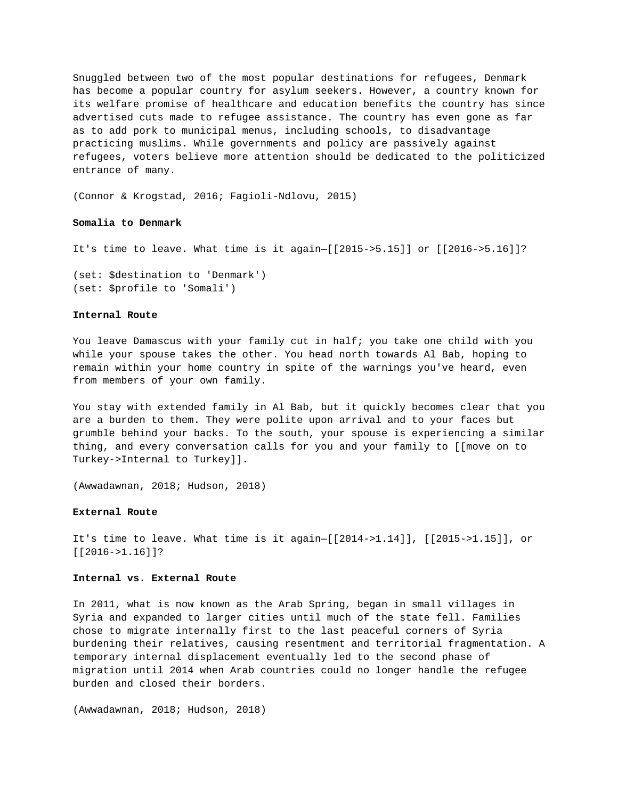Snuggled between two of the most popular destinations for refugees, Denmark has become a popular country for asylum seekers. However, a country known for its welfare promise of healthcare and education benefits the country has since advertised cuts made to refugee assistance. The country has even gone as far as to add pork to municipal menus, including schools, to disadvantage practicing muslims. While governments and policy are passively against refugees, voters believe more attention should be dedicated to the politicized entrance of many.

(Connor & Krogstad, 2016; Fagioli-Ndlovu, 2015)

### **Somalia to Denmark**

It's time to leave. What time is it again—[[2015->5.15]] or [[2016->5.16]]?

(set: \$destination to 'Denmark') (set: \$profile to 'Somali')

#### **Internal Route**

You leave Damascus with your family cut in half; you take one child with you while your spouse takes the other. You head north towards Al Bab, hoping to remain within your home country in spite of the warnings you've heard, even from members of your own family.

You stay with extended family in Al Bab, but it quickly becomes clear that you are a burden to them. They were polite upon arrival and to your faces but grumble behind your backs. To the south, your spouse is experiencing a similar thing, and every conversation calls for you and your family to [[move on to Turkey->Internal to Turkey]].

(Awwadawnan, 2018; Hudson, 2018)

### **External Route**

It's time to leave. What time is it again—[[2014->1.14]], [[2015->1.15]], or [[2016->1.16]]?

### **Internal vs. External Route**

In 2011, what is now known as the Arab Spring, began in small villages in Syria and expanded to larger cities until much of the state fell. Families chose to migrate internally first to the last peaceful corners of Syria burdening their relatives, causing resentment and territorial fragmentation. A temporary internal displacement eventually led to the second phase of migration until 2014 when Arab countries could no longer handle the refugee burden and closed their borders.

(Awwadawnan, 2018; Hudson, 2018)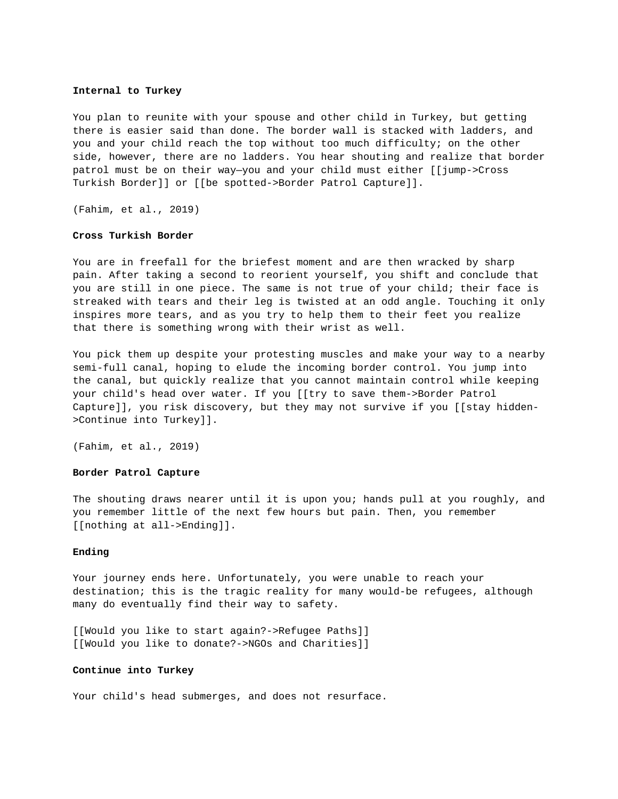#### **Internal to Turkey**

You plan to reunite with your spouse and other child in Turkey, but getting there is easier said than done. The border wall is stacked with ladders, and you and your child reach the top without too much difficulty; on the other side, however, there are no ladders. You hear shouting and realize that border patrol must be on their way—you and your child must either [[jump->Cross Turkish Border]] or [[be spotted->Border Patrol Capture]].

(Fahim, et al., 2019)

### **Cross Turkish Border**

You are in freefall for the briefest moment and are then wracked by sharp pain. After taking a second to reorient yourself, you shift and conclude that you are still in one piece. The same is not true of your child; their face is streaked with tears and their leg is twisted at an odd angle. Touching it only inspires more tears, and as you try to help them to their feet you realize that there is something wrong with their wrist as well.

You pick them up despite your protesting muscles and make your way to a nearby semi-full canal, hoping to elude the incoming border control. You jump into the canal, but quickly realize that you cannot maintain control while keeping your child's head over water. If you [[try to save them->Border Patrol Capture]], you risk discovery, but they may not survive if you [[stay hidden- >Continue into Turkey]].

(Fahim, et al., 2019)

## **Border Patrol Capture**

The shouting draws nearer until it is upon you; hands pull at you roughly, and you remember little of the next few hours but pain. Then, you remember [[nothing at all->Ending]].

### **Ending**

Your journey ends here. Unfortunately, you were unable to reach your destination; this is the tragic reality for many would-be refugees, although many do eventually find their way to safety.

[[Would you like to start again?->Refugee Paths]] [[Would you like to donate?->NGOs and Charities]]

#### **Continue into Turkey**

Your child's head submerges, and does not resurface.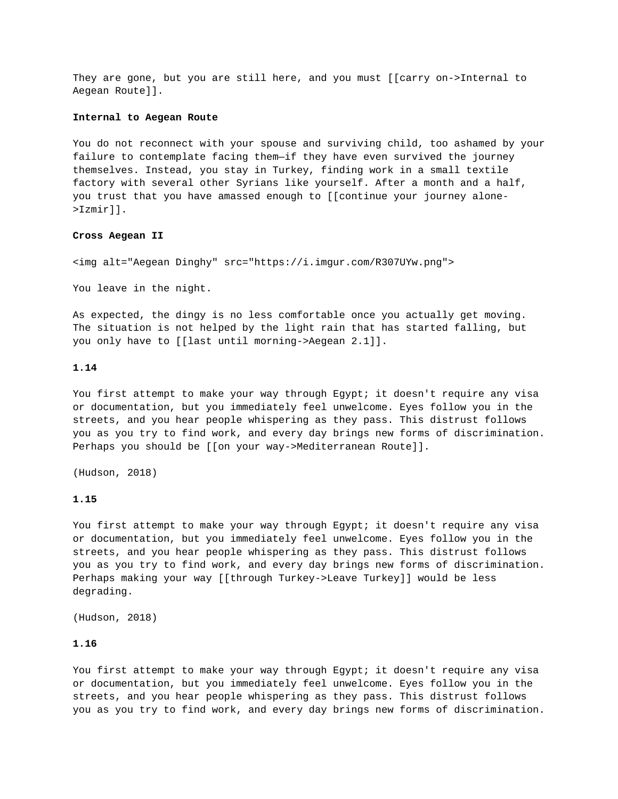They are gone, but you are still here, and you must [[carry on->Internal to Aegean Route]].

### **Internal to Aegean Route**

You do not reconnect with your spouse and surviving child, too ashamed by your failure to contemplate facing them—if they have even survived the journey themselves. Instead, you stay in Turkey, finding work in a small textile factory with several other Syrians like yourself. After a month and a half, you trust that you have amassed enough to [[continue your journey alone- >Izmir]].

## **Cross Aegean II**

<img alt="Aegean Dinghy" src="https://i.imgur.com/R307UYw.png">

You leave in the night.

As expected, the dingy is no less comfortable once you actually get moving. The situation is not helped by the light rain that has started falling, but you only have to [[last until morning->Aegean 2.1]].

## **1.14**

You first attempt to make your way through Egypt; it doesn't require any visa or documentation, but you immediately feel unwelcome. Eyes follow you in the streets, and you hear people whispering as they pass. This distrust follows you as you try to find work, and every day brings new forms of discrimination. Perhaps you should be [[on your way->Mediterranean Route]].

(Hudson, 2018)

### **1.15**

You first attempt to make your way through Egypt; it doesn't require any visa or documentation, but you immediately feel unwelcome. Eyes follow you in the streets, and you hear people whispering as they pass. This distrust follows you as you try to find work, and every day brings new forms of discrimination. Perhaps making your way [[through Turkey->Leave Turkey]] would be less degrading.

(Hudson, 2018)

# **1.16**

You first attempt to make your way through Egypt; it doesn't require any visa or documentation, but you immediately feel unwelcome. Eyes follow you in the streets, and you hear people whispering as they pass. This distrust follows you as you try to find work, and every day brings new forms of discrimination.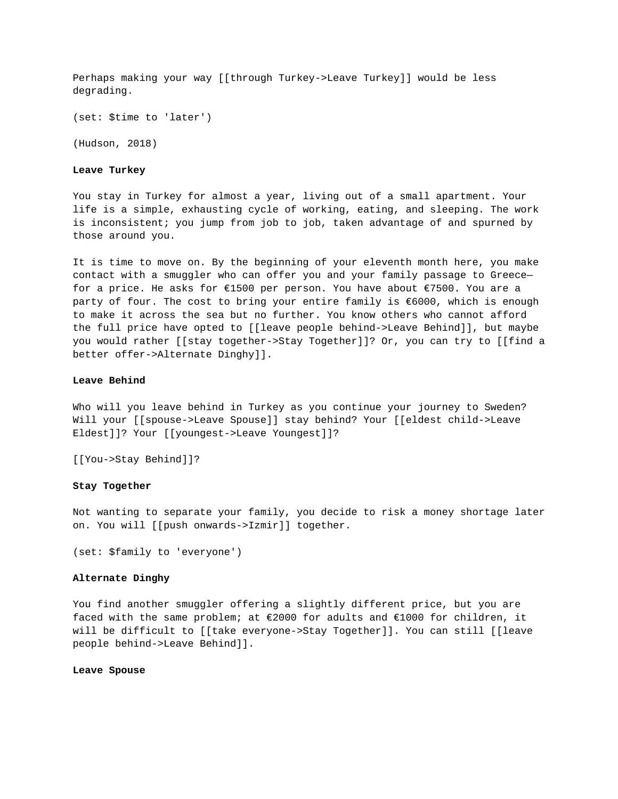Perhaps making your way [[through Turkey->Leave Turkey]] would be less degrading.

(set: \$time to 'later')

(Hudson, 2018)

**Leave Turkey**

You stay in Turkey for almost a year, living out of a small apartment. Your life is a simple, exhausting cycle of working, eating, and sleeping. The work is inconsistent; you jump from job to job, taken advantage of and spurned by those around you.

It is time to move on. By the beginning of your eleventh month here, you make contact with a smuggler who can offer you and your family passage to Greece for a price. He asks for €1500 per person. You have about €7500. You are a party of four. The cost to bring your entire family is €6000, which is enough to make it across the sea but no further. You know others who cannot afford the full price have opted to [[leave people behind->Leave Behind]], but maybe you would rather [[stay together->Stay Together]]? Or, you can try to [[find a better offer->Alternate Dinghy]].

## **Leave Behind**

Who will you leave behind in Turkey as you continue your journey to Sweden? Will your [[spouse->Leave Spouse]] stay behind? Your [[eldest child->Leave Eldest]]? Your [[youngest->Leave Youngest]]?

[[You->Stay Behind]]?

# **Stay Together**

Not wanting to separate your family, you decide to risk a money shortage later on. You will [[push onwards->Izmir]] together.

(set: \$family to 'everyone')

# **Alternate Dinghy**

You find another smuggler offering a slightly different price, but you are faced with the same problem; at €2000 for adults and €1000 for children, it will be difficult to [[take everyone->Stay Together]]. You can still [[leave people behind->Leave Behind]].

### **Leave Spouse**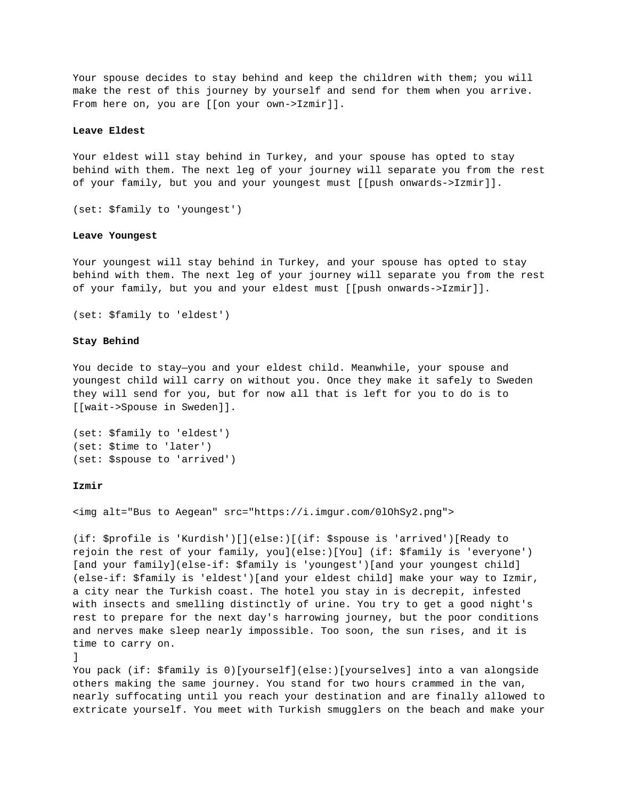Your spouse decides to stay behind and keep the children with them; you will make the rest of this journey by yourself and send for them when you arrive. From here on, you are [[on your own->Izmir]].

### **Leave Eldest**

Your eldest will stay behind in Turkey, and your spouse has opted to stay behind with them. The next leg of your journey will separate you from the rest of your family, but you and your youngest must [[push onwards->Izmir]].

```
(set: $family to 'youngest')
```
## **Leave Youngest**

Your youngest will stay behind in Turkey, and your spouse has opted to stay behind with them. The next leg of your journey will separate you from the rest of your family, but you and your eldest must [[push onwards->Izmir]].

```
(set: $family to 'eldest')
```
#### **Stay Behind**

You decide to stay—you and your eldest child. Meanwhile, your spouse and youngest child will carry on without you. Once they make it safely to Sweden they will send for you, but for now all that is left for you to do is to [[wait->Spouse in Sweden]].

```
(set: $family to 'eldest')
(set: $time to 'later')
(set: $spouse to 'arrived')
```
## **Izmir**

<img alt="Bus to Aegean" src="https://i.imgur.com/0lOhSy2.png">

(if: \$profile is 'Kurdish')[](else:)[(if: \$spouse is 'arrived')[Ready to rejoin the rest of your family, you](else:)[You] (if: \$family is 'everyone') [and your family](else-if: \$family is 'youngest')[and your youngest child] (else-if: \$family is 'eldest')[and your eldest child] make your way to Izmir, a city near the Turkish coast. The hotel you stay in is decrepit, infested with insects and smelling distinctly of urine. You try to get a good night's rest to prepare for the next day's harrowing journey, but the poor conditions and nerves make sleep nearly impossible. Too soon, the sun rises, and it is time to carry on.

```
\mathbf{1}
```
You pack (if: \$family is 0)[yourself](else:)[yourselves] into a van alongside others making the same journey. You stand for two hours crammed in the van, nearly suffocating until you reach your destination and are finally allowed to extricate yourself. You meet with Turkish smugglers on the beach and make your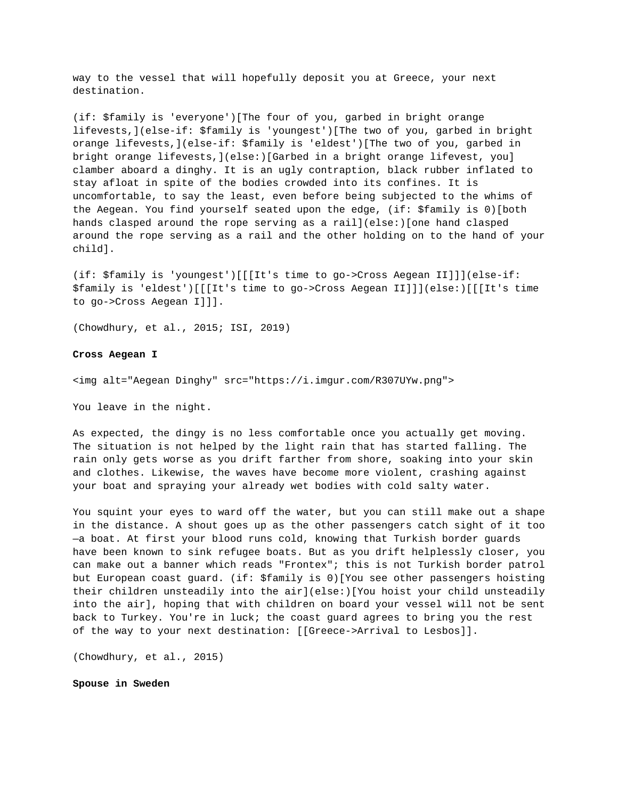way to the vessel that will hopefully deposit you at Greece, your next destination.

(if: \$family is 'everyone')[The four of you, garbed in bright orange lifevests,](else-if: \$family is 'youngest')[The two of you, garbed in bright orange lifevests,](else-if: \$family is 'eldest')[The two of you, garbed in bright orange lifevests,](else:)[Garbed in a bright orange lifevest, you] clamber aboard a dinghy. It is an ugly contraption, black rubber inflated to stay afloat in spite of the bodies crowded into its confines. It is uncomfortable, to say the least, even before being subjected to the whims of the Aegean. You find yourself seated upon the edge, (if: \$family is 0)[both hands clasped around the rope serving as a rail](else:)[one hand clasped around the rope serving as a rail and the other holding on to the hand of your child].

(if: \$family is 'youngest')[[[It's time to go->Cross Aegean II]]](else-if: \$family is 'eldest')[[[It's time to go->Cross Aegean II]]](else:)[[[It's time to go->Cross Aegean I]]].

(Chowdhury, et al., 2015; ISI, 2019)

## **Cross Aegean I**

<img alt="Aegean Dinghy" src="https://i.imgur.com/R307UYw.png">

You leave in the night.

As expected, the dingy is no less comfortable once you actually get moving. The situation is not helped by the light rain that has started falling. The rain only gets worse as you drift farther from shore, soaking into your skin and clothes. Likewise, the waves have become more violent, crashing against your boat and spraying your already wet bodies with cold salty water.

You squint your eyes to ward off the water, but you can still make out a shape in the distance. A shout goes up as the other passengers catch sight of it too —a boat. At first your blood runs cold, knowing that Turkish border guards have been known to sink refugee boats. But as you drift helplessly closer, you can make out a banner which reads "Frontex"; this is not Turkish border patrol but European coast guard. (if: \$family is 0)[You see other passengers hoisting their children unsteadily into the air](else:)[You hoist your child unsteadily into the air], hoping that with children on board your vessel will not be sent back to Turkey. You're in luck; the coast guard agrees to bring you the rest of the way to your next destination: [[Greece->Arrival to Lesbos]].

(Chowdhury, et al., 2015)

**Spouse in Sweden**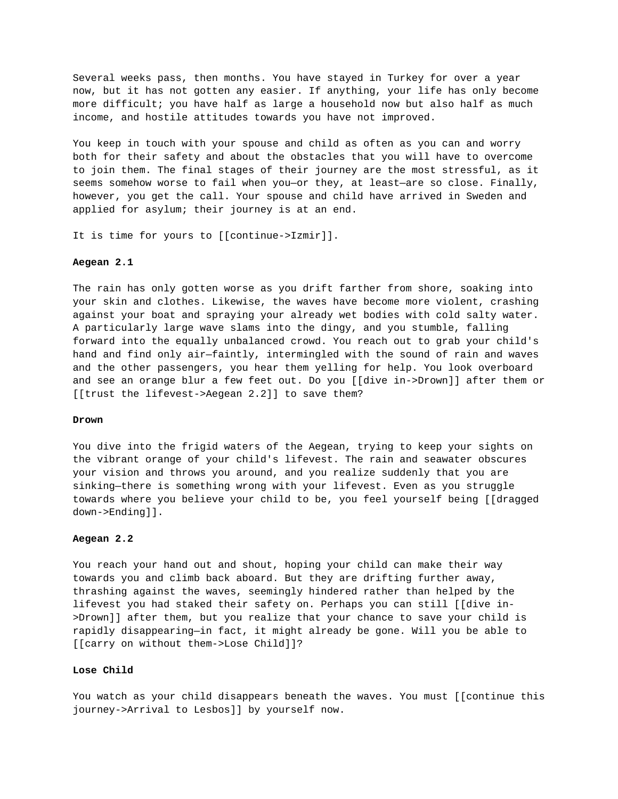Several weeks pass, then months. You have stayed in Turkey for over a year now, but it has not gotten any easier. If anything, your life has only become more difficult; you have half as large a household now but also half as much income, and hostile attitudes towards you have not improved.

You keep in touch with your spouse and child as often as you can and worry both for their safety and about the obstacles that you will have to overcome to join them. The final stages of their journey are the most stressful, as it seems somehow worse to fail when you—or they, at least—are so close. Finally, however, you get the call. Your spouse and child have arrived in Sweden and applied for asylum; their journey is at an end.

It is time for yours to [[continue->Izmir]].

### **Aegean 2.1**

The rain has only gotten worse as you drift farther from shore, soaking into your skin and clothes. Likewise, the waves have become more violent, crashing against your boat and spraying your already wet bodies with cold salty water. A particularly large wave slams into the dingy, and you stumble, falling forward into the equally unbalanced crowd. You reach out to grab your child's hand and find only air—faintly, intermingled with the sound of rain and waves and the other passengers, you hear them yelling for help. You look overboard and see an orange blur a few feet out. Do you [[dive in->Drown]] after them or [[trust the lifevest->Aegean 2.2]] to save them?

### **Drown**

You dive into the frigid waters of the Aegean, trying to keep your sights on the vibrant orange of your child's lifevest. The rain and seawater obscures your vision and throws you around, and you realize suddenly that you are sinking—there is something wrong with your lifevest. Even as you struggle towards where you believe your child to be, you feel yourself being [[dragged down->Ending]].

# **Aegean 2.2**

You reach your hand out and shout, hoping your child can make their way towards you and climb back aboard. But they are drifting further away, thrashing against the waves, seemingly hindered rather than helped by the lifevest you had staked their safety on. Perhaps you can still [[dive in- >Drown]] after them, but you realize that your chance to save your child is rapidly disappearing—in fact, it might already be gone. Will you be able to [[carry on without them->Lose Child]]?

### **Lose Child**

You watch as your child disappears beneath the waves. You must [[continue this journey->Arrival to Lesbos]] by yourself now.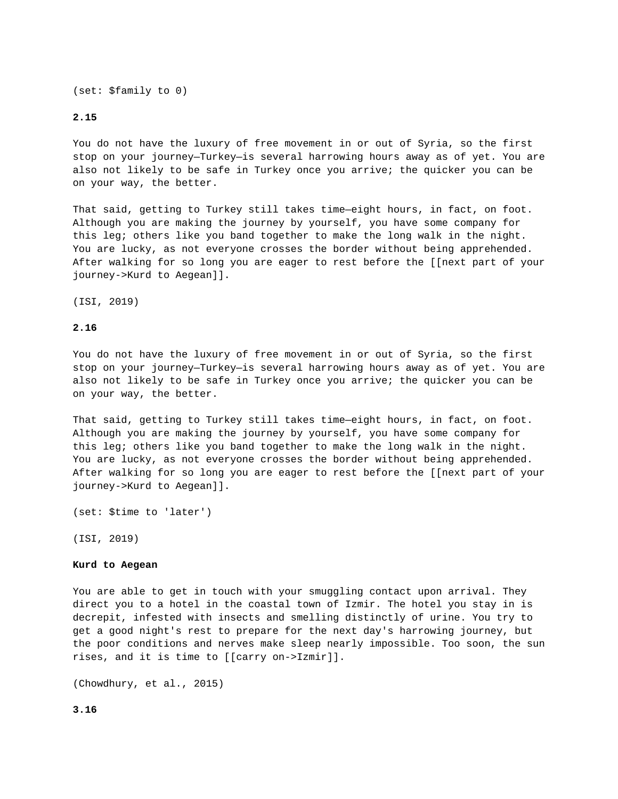(set: \$family to 0)

## **2.15**

You do not have the luxury of free movement in or out of Syria, so the first stop on your journey—Turkey—is several harrowing hours away as of yet. You are also not likely to be safe in Turkey once you arrive; the quicker you can be on your way, the better.

That said, getting to Turkey still takes time—eight hours, in fact, on foot. Although you are making the journey by yourself, you have some company for this leg; others like you band together to make the long walk in the night. You are lucky, as not everyone crosses the border without being apprehended. After walking for so long you are eager to rest before the [[next part of your journey->Kurd to Aegean]].

(ISI, 2019)

### **2.16**

You do not have the luxury of free movement in or out of Syria, so the first stop on your journey—Turkey—is several harrowing hours away as of yet. You are also not likely to be safe in Turkey once you arrive; the quicker you can be on your way, the better.

That said, getting to Turkey still takes time—eight hours, in fact, on foot. Although you are making the journey by yourself, you have some company for this leg; others like you band together to make the long walk in the night. You are lucky, as not everyone crosses the border without being apprehended. After walking for so long you are eager to rest before the [[next part of your journey->Kurd to Aegean]].

(set: \$time to 'later')

(ISI, 2019)

## **Kurd to Aegean**

You are able to get in touch with your smuggling contact upon arrival. They direct you to a hotel in the coastal town of Izmir. The hotel you stay in is decrepit, infested with insects and smelling distinctly of urine. You try to get a good night's rest to prepare for the next day's harrowing journey, but the poor conditions and nerves make sleep nearly impossible. Too soon, the sun rises, and it is time to [[carry on->Izmir]].

(Chowdhury, et al., 2015)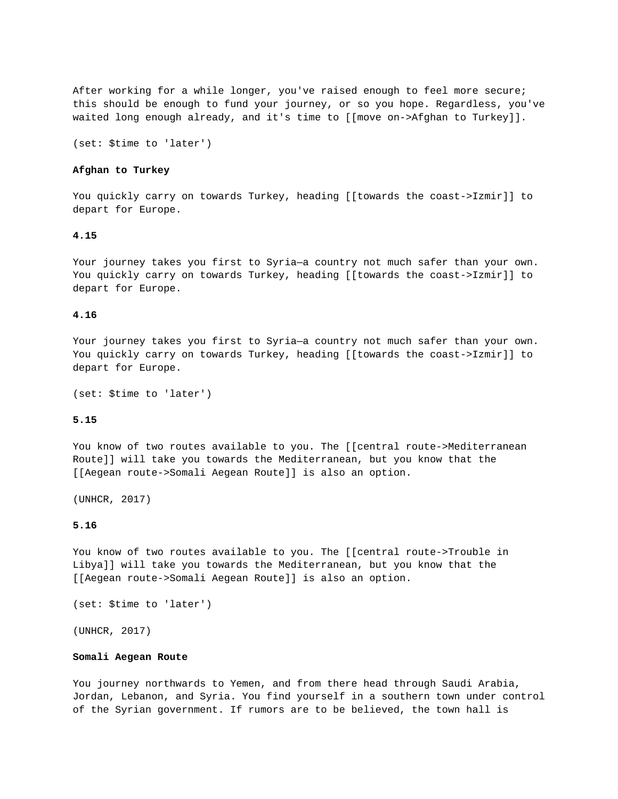After working for a while longer, you've raised enough to feel more secure; this should be enough to fund your journey, or so you hope. Regardless, you've waited long enough already, and it's time to [[move on->Afghan to Turkey]].

(set: \$time to 'later')

### **Afghan to Turkey**

You quickly carry on towards Turkey, heading [[towards the coast->Izmir]] to depart for Europe.

# **4.15**

Your journey takes you first to Syria—a country not much safer than your own. You quickly carry on towards Turkey, heading [[towards the coast->Izmir]] to depart for Europe.

#### **4.16**

Your journey takes you first to Syria—a country not much safer than your own. You quickly carry on towards Turkey, heading [[towards the coast->Izmir]] to depart for Europe.

(set: \$time to 'later')

#### **5.15**

You know of two routes available to you. The [[central route->Mediterranean Route]] will take you towards the Mediterranean, but you know that the [[Aegean route->Somali Aegean Route]] is also an option.

(UNHCR, 2017)

#### **5.16**

You know of two routes available to you. The [[central route->Trouble in Libya]] will take you towards the Mediterranean, but you know that the [[Aegean route->Somali Aegean Route]] is also an option.

```
(set: $time to 'later')
```
(UNHCR, 2017)

#### **Somali Aegean Route**

You journey northwards to Yemen, and from there head through Saudi Arabia, Jordan, Lebanon, and Syria. You find yourself in a southern town under control of the Syrian government. If rumors are to be believed, the town hall is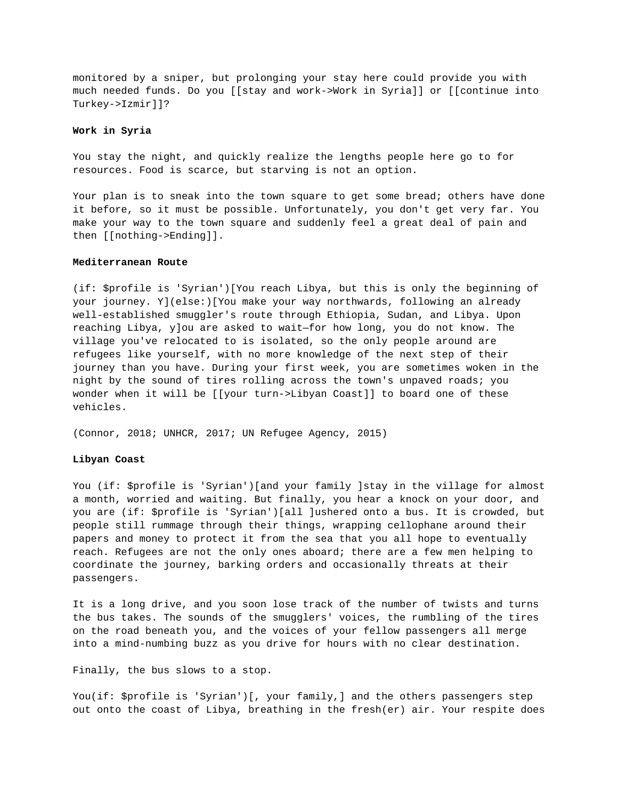monitored by a sniper, but prolonging your stay here could provide you with much needed funds. Do you [[stay and work->Work in Syria]] or [[continue into Turkey->Izmir]]?

#### **Work in Syria**

You stay the night, and quickly realize the lengths people here go to for resources. Food is scarce, but starving is not an option.

Your plan is to sneak into the town square to get some bread; others have done it before, so it must be possible. Unfortunately, you don't get very far. You make your way to the town square and suddenly feel a great deal of pain and then [[nothing->Ending]].

## **Mediterranean Route**

(if: \$profile is 'Syrian')[You reach Libya, but this is only the beginning of your journey. Y](else:)[You make your way northwards, following an already well-established smuggler's route through Ethiopia, Sudan, and Libya. Upon reaching Libya, y]ou are asked to wait—for how long, you do not know. The village you've relocated to is isolated, so the only people around are refugees like yourself, with no more knowledge of the next step of their journey than you have. During your first week, you are sometimes woken in the night by the sound of tires rolling across the town's unpaved roads; you wonder when it will be [[your turn->Libyan Coast]] to board one of these vehicles.

(Connor, 2018; UNHCR, 2017; UN Refugee Agency, 2015)

## **Libyan Coast**

You (if: \$profile is 'Syrian')[and your family ]stay in the village for almost a month, worried and waiting. But finally, you hear a knock on your door, and you are (if: \$profile is 'Syrian')[all ]ushered onto a bus. It is crowded, but people still rummage through their things, wrapping cellophane around their papers and money to protect it from the sea that you all hope to eventually reach. Refugees are not the only ones aboard; there are a few men helping to coordinate the journey, barking orders and occasionally threats at their passengers.

It is a long drive, and you soon lose track of the number of twists and turns the bus takes. The sounds of the smugglers' voices, the rumbling of the tires on the road beneath you, and the voices of your fellow passengers all merge into a mind-numbing buzz as you drive for hours with no clear destination.

Finally, the bus slows to a stop.

You(if: \$profile is 'Syrian')[, your family,] and the others passengers step out onto the coast of Libya, breathing in the fresh(er) air. Your respite does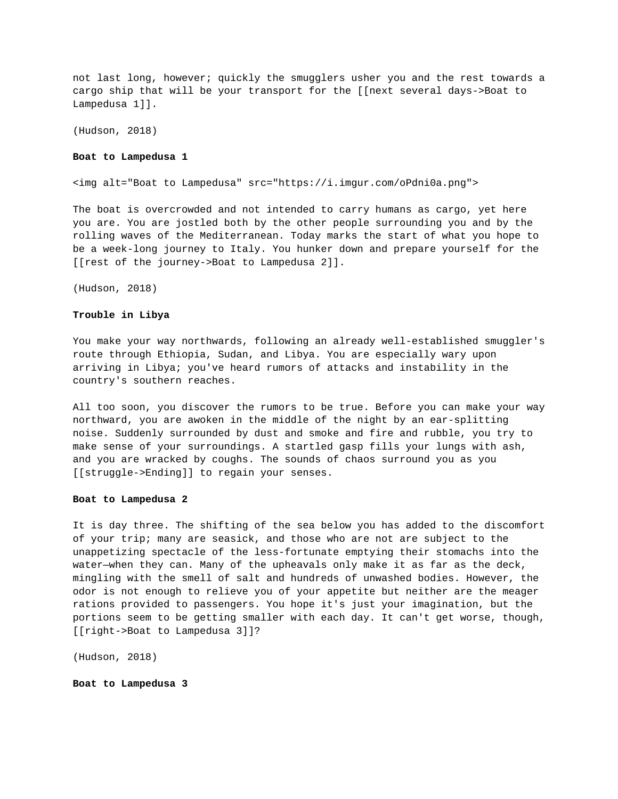not last long, however; quickly the smugglers usher you and the rest towards a cargo ship that will be your transport for the [[next several days->Boat to Lampedusa 1]].

(Hudson, 2018)

#### **Boat to Lampedusa 1**

<img alt="Boat to Lampedusa" src="https://i.imgur.com/oPdni0a.png">

The boat is overcrowded and not intended to carry humans as cargo, yet here you are. You are jostled both by the other people surrounding you and by the rolling waves of the Mediterranean. Today marks the start of what you hope to be a week-long journey to Italy. You hunker down and prepare yourself for the [[rest of the journey->Boat to Lampedusa 2]].

(Hudson, 2018)

#### **Trouble in Libya**

You make your way northwards, following an already well-established smuggler's route through Ethiopia, Sudan, and Libya. You are especially wary upon arriving in Libya; you've heard rumors of attacks and instability in the country's southern reaches.

All too soon, you discover the rumors to be true. Before you can make your way northward, you are awoken in the middle of the night by an ear-splitting noise. Suddenly surrounded by dust and smoke and fire and rubble, you try to make sense of your surroundings. A startled gasp fills your lungs with ash, and you are wracked by coughs. The sounds of chaos surround you as you [[struggle->Ending]] to regain your senses.

### **Boat to Lampedusa 2**

It is day three. The shifting of the sea below you has added to the discomfort of your trip; many are seasick, and those who are not are subject to the unappetizing spectacle of the less-fortunate emptying their stomachs into the water—when they can. Many of the upheavals only make it as far as the deck, mingling with the smell of salt and hundreds of unwashed bodies. However, the odor is not enough to relieve you of your appetite but neither are the meager rations provided to passengers. You hope it's just your imagination, but the portions seem to be getting smaller with each day. It can't get worse, though, [[right->Boat to Lampedusa 3]]?

(Hudson, 2018)

**Boat to Lampedusa 3**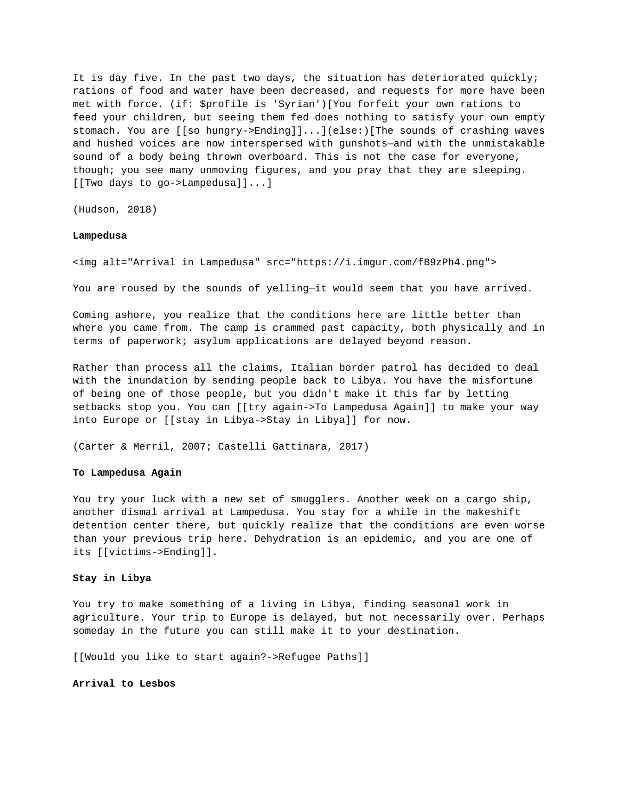It is day five. In the past two days, the situation has deteriorated quickly; rations of food and water have been decreased, and requests for more have been met with force. (if: \$profile is 'Syrian')[You forfeit your own rations to feed your children, but seeing them fed does nothing to satisfy your own empty stomach. You are [[so hungry->Ending]]...](else:)[The sounds of crashing waves and hushed voices are now interspersed with gunshots—and with the unmistakable sound of a body being thrown overboard. This is not the case for everyone, though; you see many unmoving figures, and you pray that they are sleeping. [[Two days to go->Lampedusa]]...]

(Hudson, 2018)

#### **Lampedusa**

<img alt="Arrival in Lampedusa" src="https://i.imgur.com/fB9zPh4.png">

You are roused by the sounds of yelling—it would seem that you have arrived.

Coming ashore, you realize that the conditions here are little better than where you came from. The camp is crammed past capacity, both physically and in terms of paperwork; asylum applications are delayed beyond reason.

Rather than process all the claims, Italian border patrol has decided to deal with the inundation by sending people back to Libya. You have the misfortune of being one of those people, but you didn't make it this far by letting setbacks stop you. You can [[try again->To Lampedusa Again]] to make your way into Europe or [[stay in Libya->Stay in Libya]] for now.

(Carter & Merril, 2007; Castelli Gattinara, 2017)

## **To Lampedusa Again**

You try your luck with a new set of smugglers. Another week on a cargo ship, another dismal arrival at Lampedusa. You stay for a while in the makeshift detention center there, but quickly realize that the conditions are even worse than your previous trip here. Dehydration is an epidemic, and you are one of its [[victims->Ending]].

#### **Stay in Libya**

You try to make something of a living in Libya, finding seasonal work in agriculture. Your trip to Europe is delayed, but not necessarily over. Perhaps someday in the future you can still make it to your destination.

[[Would you like to start again?->Refugee Paths]]

**Arrival to Lesbos**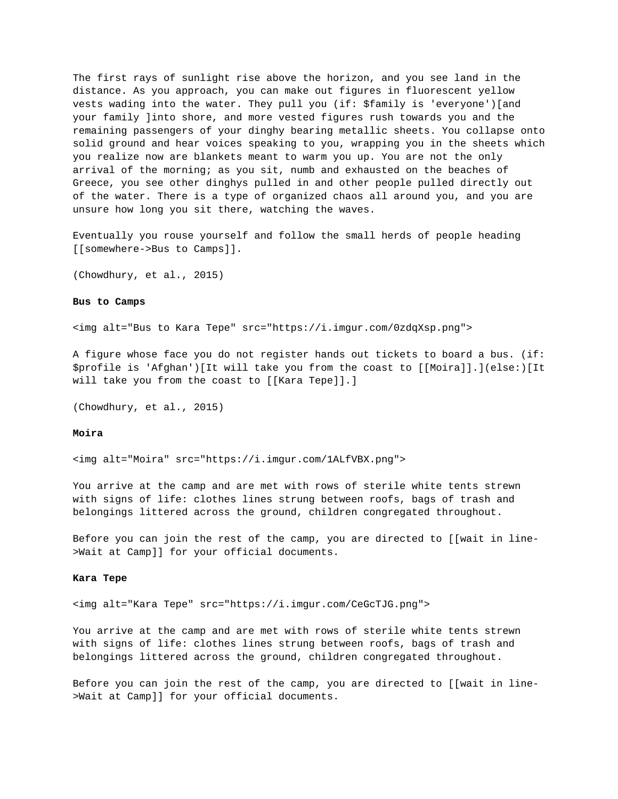The first rays of sunlight rise above the horizon, and you see land in the distance. As you approach, you can make out figures in fluorescent yellow vests wading into the water. They pull you (if: \$family is 'everyone')[and your family ]into shore, and more vested figures rush towards you and the remaining passengers of your dinghy bearing metallic sheets. You collapse onto solid ground and hear voices speaking to you, wrapping you in the sheets which you realize now are blankets meant to warm you up. You are not the only arrival of the morning; as you sit, numb and exhausted on the beaches of Greece, you see other dinghys pulled in and other people pulled directly out of the water. There is a type of organized chaos all around you, and you are unsure how long you sit there, watching the waves.

Eventually you rouse yourself and follow the small herds of people heading [[somewhere->Bus to Camps]].

(Chowdhury, et al., 2015)

### **Bus to Camps**

<img alt="Bus to Kara Tepe" src="https://i.imgur.com/0zdqXsp.png">

A figure whose face you do not register hands out tickets to board a bus. (if: \$profile is 'Afghan')[It will take you from the coast to [[Moira]].](else:)[It will take you from the coast to [[Kara Tepe]].]

(Chowdhury, et al., 2015)

### **Moira**

<img alt="Moira" src="https://i.imgur.com/1ALfVBX.png">

You arrive at the camp and are met with rows of sterile white tents strewn with signs of life: clothes lines strung between roofs, bags of trash and belongings littered across the ground, children congregated throughout.

Before you can join the rest of the camp, you are directed to [[wait in line- >Wait at Camp]] for your official documents.

#### **Kara Tepe**

<img alt="Kara Tepe" src="https://i.imgur.com/CeGcTJG.png">

You arrive at the camp and are met with rows of sterile white tents strewn with signs of life: clothes lines strung between roofs, bags of trash and belongings littered across the ground, children congregated throughout.

Before you can join the rest of the camp, you are directed to  $\lceil$  [wait in line->Wait at Camp]] for your official documents.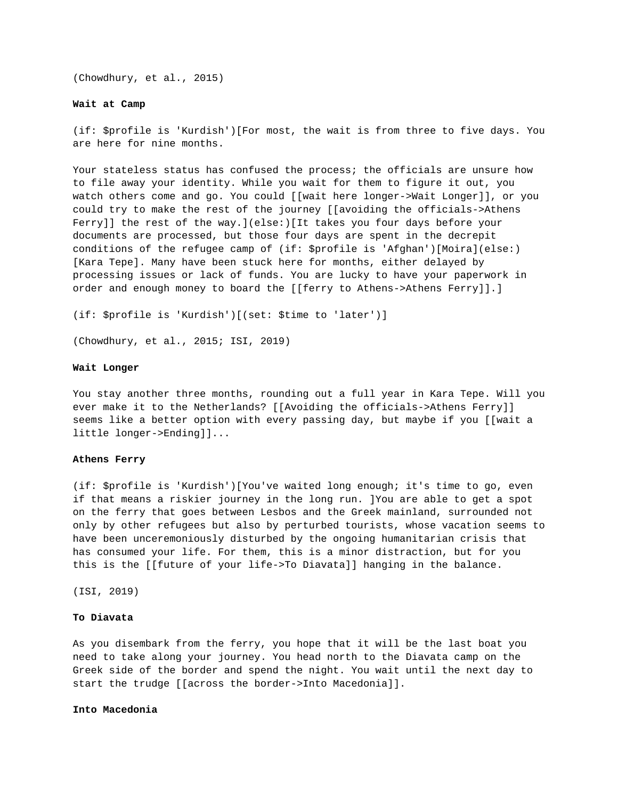(Chowdhury, et al., 2015)

#### **Wait at Camp**

(if: \$profile is 'Kurdish')[For most, the wait is from three to five days. You are here for nine months.

Your stateless status has confused the process; the officials are unsure how to file away your identity. While you wait for them to figure it out, you watch others come and go. You could [[wait here longer->Wait Longer]], or you could try to make the rest of the journey [[avoiding the officials->Athens Ferry]] the rest of the way.](else:)[It takes you four days before your documents are processed, but those four days are spent in the decrepit conditions of the refugee camp of (if: \$profile is 'Afghan')[Moira](else:) [Kara Tepe]. Many have been stuck here for months, either delayed by processing issues or lack of funds. You are lucky to have your paperwork in order and enough money to board the [[ferry to Athens->Athens Ferry]].]

(if: \$profile is 'Kurdish')[(set: \$time to 'later')]

(Chowdhury, et al., 2015; ISI, 2019)

#### **Wait Longer**

You stay another three months, rounding out a full year in Kara Tepe. Will you ever make it to the Netherlands? [[Avoiding the officials->Athens Ferry]] seems like a better option with every passing day, but maybe if you [[wait a little longer->Ending]]...

### **Athens Ferry**

(if: \$profile is 'Kurdish')[You've waited long enough; it's time to go, even if that means a riskier journey in the long run. ]You are able to get a spot on the ferry that goes between Lesbos and the Greek mainland, surrounded not only by other refugees but also by perturbed tourists, whose vacation seems to have been unceremoniously disturbed by the ongoing humanitarian crisis that has consumed your life. For them, this is a minor distraction, but for you this is the [[future of your life->To Diavata]] hanging in the balance.

(ISI, 2019)

### **To Diavata**

As you disembark from the ferry, you hope that it will be the last boat you need to take along your journey. You head north to the Diavata camp on the Greek side of the border and spend the night. You wait until the next day to start the trudge [[across the border->Into Macedonia]].

### **Into Macedonia**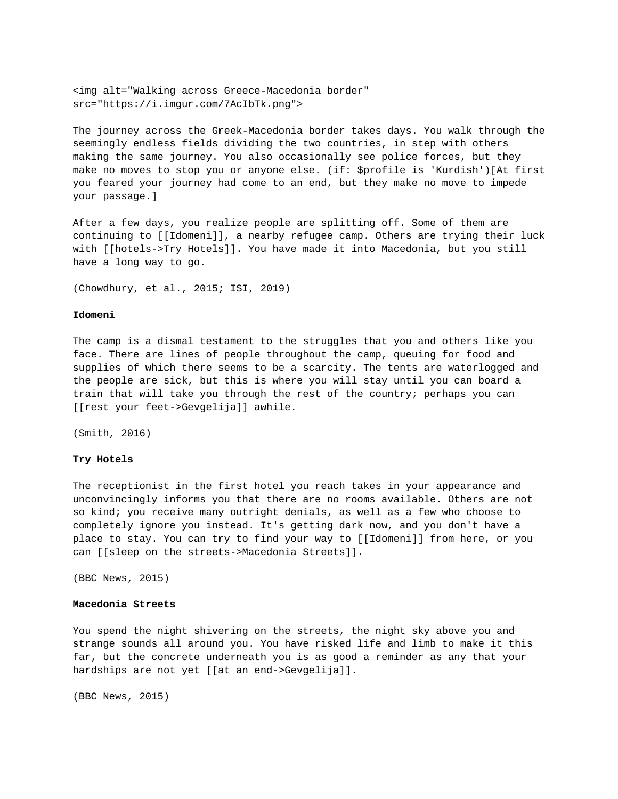<img alt="Walking across Greece-Macedonia border" src="https://i.imgur.com/7AcIbTk.png">

The journey across the Greek-Macedonia border takes days. You walk through the seemingly endless fields dividing the two countries, in step with others making the same journey. You also occasionally see police forces, but they make no moves to stop you or anyone else. (if: \$profile is 'Kurdish')[At first you feared your journey had come to an end, but they make no move to impede your passage.]

After a few days, you realize people are splitting off. Some of them are continuing to [[Idomeni]], a nearby refugee camp. Others are trying their luck with [[hotels->Try Hotels]]. You have made it into Macedonia, but you still have a long way to go.

(Chowdhury, et al., 2015; ISI, 2019)

#### **Idomeni**

The camp is a dismal testament to the struggles that you and others like you face. There are lines of people throughout the camp, queuing for food and supplies of which there seems to be a scarcity. The tents are waterlogged and the people are sick, but this is where you will stay until you can board a train that will take you through the rest of the country; perhaps you can [[rest your feet->Gevgelija]] awhile.

(Smith, 2016)

## **Try Hotels**

The receptionist in the first hotel you reach takes in your appearance and unconvincingly informs you that there are no rooms available. Others are not so kind; you receive many outright denials, as well as a few who choose to completely ignore you instead. It's getting dark now, and you don't have a place to stay. You can try to find your way to [[Idomeni]] from here, or you can [[sleep on the streets->Macedonia Streets]].

(BBC News, 2015)

## **Macedonia Streets**

You spend the night shivering on the streets, the night sky above you and strange sounds all around you. You have risked life and limb to make it this far, but the concrete underneath you is as good a reminder as any that your hardships are not yet [[at an end->Gevgelija]].

(BBC News, 2015)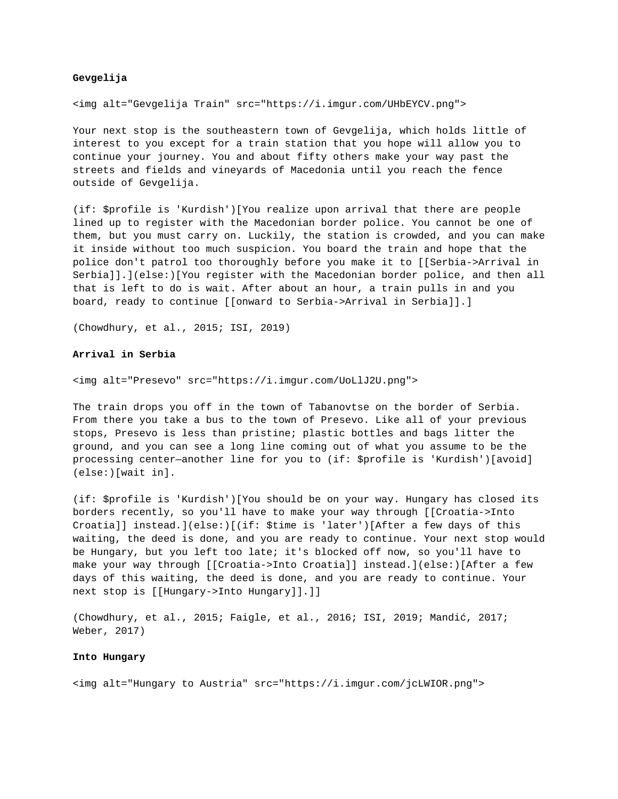## **Gevgelija**

<img alt="Gevgelija Train" src="https://i.imgur.com/UHbEYCV.png">

Your next stop is the southeastern town of Gevgelija, which holds little of interest to you except for a train station that you hope will allow you to continue your journey. You and about fifty others make your way past the streets and fields and vineyards of Macedonia until you reach the fence outside of Gevgelija.

(if: \$profile is 'Kurdish')[You realize upon arrival that there are people lined up to register with the Macedonian border police. You cannot be one of them, but you must carry on. Luckily, the station is crowded, and you can make it inside without too much suspicion. You board the train and hope that the police don't patrol too thoroughly before you make it to [[Serbia->Arrival in Serbia]].](else:)[You register with the Macedonian border police, and then all that is left to do is wait. After about an hour, a train pulls in and you board, ready to continue [[onward to Serbia->Arrival in Serbia]].]

(Chowdhury, et al., 2015; ISI, 2019)

### **Arrival in Serbia**

<img alt="Presevo" src="https://i.imgur.com/UoLlJ2U.png">

The train drops you off in the town of Tabanovtse on the border of Serbia. From there you take a bus to the town of Presevo. Like all of your previous stops, Presevo is less than pristine; plastic bottles and bags litter the ground, and you can see a long line coming out of what you assume to be the processing center—another line for you to (if: \$profile is 'Kurdish')[avoid] (else:)[wait in].

(if: \$profile is 'Kurdish')[You should be on your way. Hungary has closed its borders recently, so you'll have to make your way through [[Croatia->Into Croatia]] instead.](else:)[(if: \$time is 'later')[After a few days of this waiting, the deed is done, and you are ready to continue. Your next stop would be Hungary, but you left too late; it's blocked off now, so you'll have to make your way through [[Croatia->Into Croatia]] instead.](else:)[After a few days of this waiting, the deed is done, and you are ready to continue. Your next stop is [[Hungary->Into Hungary]].]]

(Chowdhury, et al., 2015; Faigle, et al., 2016; ISI, 2019; Mandić, 2017; Weber, 2017)

#### **Into Hungary**

<img alt="Hungary to Austria" src="https://i.imgur.com/jcLWIOR.png">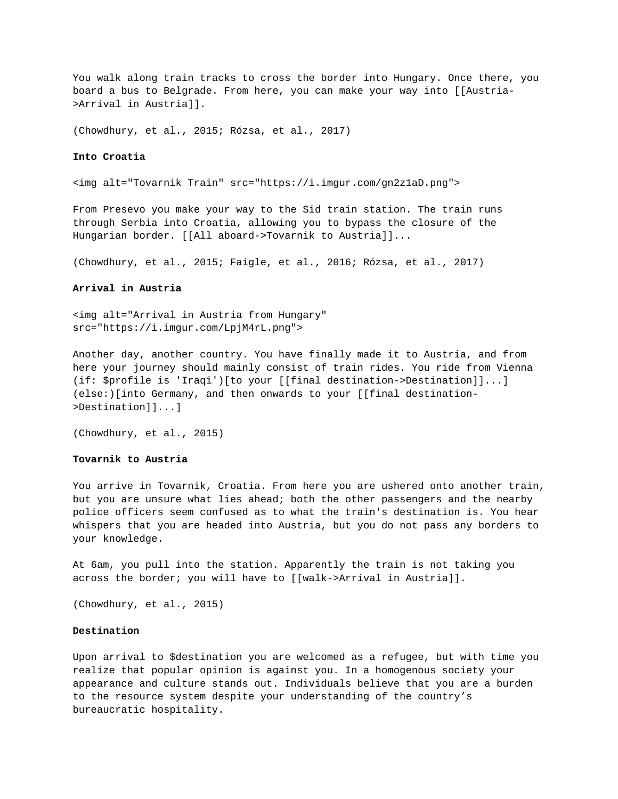You walk along train tracks to cross the border into Hungary. Once there, you board a bus to Belgrade. From here, you can make your way into [[Austria- >Arrival in Austria]].

(Chowdhury, et al., 2015; Rózsa, et al., 2017)

### **Into Croatia**

<img alt="Tovarnik Train" src="https://i.imgur.com/gn2z1aD.png">

From Presevo you make your way to the Sid train station. The train runs through Serbia into Croatia, allowing you to bypass the closure of the Hungarian border. [[All aboard->Tovarnik to Austria]]...

(Chowdhury, et al., 2015; Faigle, et al., 2016; Rózsa, et al., 2017)

# **Arrival in Austria**

<img alt="Arrival in Austria from Hungary" src="https://i.imgur.com/LpjM4rL.png">

Another day, another country. You have finally made it to Austria, and from here your journey should mainly consist of train rides. You ride from Vienna (if: \$profile is 'Iraqi')[to your [[final destination->Destination]]...] (else:)[into Germany, and then onwards to your [[final destination- >Destination]]...]

(Chowdhury, et al., 2015)

### **Tovarnik to Austria**

You arrive in Tovarnik, Croatia. From here you are ushered onto another train, but you are unsure what lies ahead; both the other passengers and the nearby police officers seem confused as to what the train's destination is. You hear whispers that you are headed into Austria, but you do not pass any borders to your knowledge.

At 6am, you pull into the station. Apparently the train is not taking you across the border; you will have to [[walk->Arrival in Austria]].

(Chowdhury, et al., 2015)

#### **Destination**

Upon arrival to \$destination you are welcomed as a refugee, but with time you realize that popular opinion is against you. In a homogenous society your appearance and culture stands out. Individuals believe that you are a burden to the resource system despite your understanding of the country's bureaucratic hospitality.